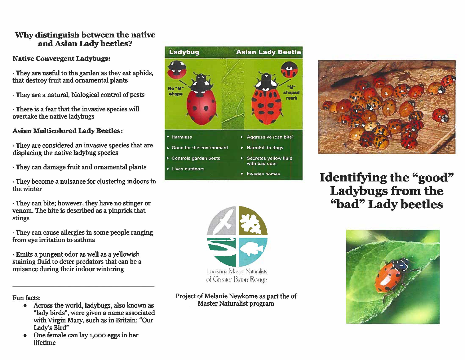# **"Why distinguish between the native and Asian Lady beetles?**

### **Native Convergent Ladybugs:**

- They are useful to the garden as they eat aphids, that destroy fruit and ornamental plants
- They are a natural, biological control of pests
- There is a fear that the invasive species will overtake the native ladybugs

## **Asian Multicolored Lady Beetles:**

- They are considered an invasive species that are displacing the native ladybug species
- They can damage fruit and ornamental plants
- They become a nuisance for clustering indoors in the winter
- They can bite; however, they have no stinger or venom. The bite is described as a pinprick that stings
- They can cause allergies in some people ranging from eye irritation to asthma
- Emits a pungent odor as well as a yellowish staining fluid to deter predators that can be a nuisance during their indoor wintering

Fun facts:

- Across the world, ladybugs, also known as "lady birds", were given a name associated with Virgin Mary, such as in Britain: "Our Lady's Bird"
- One female can lay 1,000 eggs in her lifetime





Project of Melanie Newkome as part the of Master Naturalist program



**Identifying the "good" Ladybugs from the "bad" Lady beetles**